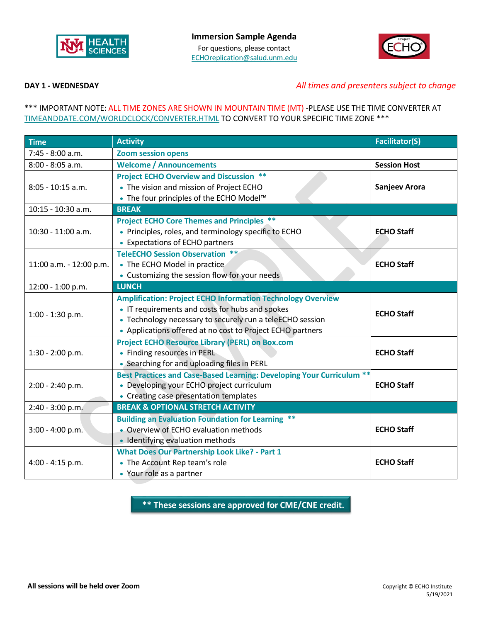



## **DAY 1 - WEDNESDAY** *All times and presenters subject to change*

### \*\*\* IMPORTANT NOTE: ALL TIME ZONES ARE SHOWN IN MOUNTAIN TIME (MT) -PLEASE USE THE TIME CONVERTER AT [TIMEANDDATE.COM/WORLDCLOCK/CONVERTER.HTML](https://www.timeanddate.com/worldclock/converter.html) TO CONVERT TO YOUR SPECIFIC TIME ZONE \*\*\*

| <b>Time</b>             | <b>Activity</b>                                                                                                                                                                                                                                  | <b>Facilitator(S)</b> |
|-------------------------|--------------------------------------------------------------------------------------------------------------------------------------------------------------------------------------------------------------------------------------------------|-----------------------|
| 7:45 - 8:00 a.m.        | <b>Zoom session opens</b>                                                                                                                                                                                                                        |                       |
| 8:00 - 8:05 a.m.        | <b>Welcome / Announcements</b>                                                                                                                                                                                                                   | <b>Session Host</b>   |
| 8:05 - 10:15 a.m.       | <b>Project ECHO Overview and Discussion **</b><br>• The vision and mission of Project ECHO<br>• The four principles of the ECHO Model™                                                                                                           | Sanjeev Arora         |
| $10:15 - 10:30$ a.m.    | <b>BREAK</b>                                                                                                                                                                                                                                     |                       |
| 10:30 - 11:00 a.m.      | <b>Project ECHO Core Themes and Principles **</b><br>• Principles, roles, and terminology specific to ECHO<br>• Expectations of ECHO partners                                                                                                    | <b>ECHO Staff</b>     |
| 11:00 a.m. - 12:00 p.m. | <b>TeleECHO Session Observation **</b><br>• The ECHO Model in practice<br>• Customizing the session flow for your needs                                                                                                                          | <b>ECHO Staff</b>     |
| 12:00 - 1:00 p.m.       | <b>LUNCH</b>                                                                                                                                                                                                                                     |                       |
| 1:00 - 1:30 p.m.        | <b>Amplification: Project ECHO Information Technology Overview</b><br>• IT requirements and costs for hubs and spokes<br>• Technology necessary to securely run a teleECHO session<br>• Applications offered at no cost to Project ECHO partners | <b>ECHO Staff</b>     |
| 1:30 - 2:00 p.m.        | <b>Project ECHO Resource Library (PERL) on Box.com</b><br>• Finding resources in PERL<br>• Searching for and uploading files in PERL                                                                                                             | <b>ECHO Staff</b>     |
| 2:00 - 2:40 p.m.        | Best Practices and Case-Based Learning: Developing Your Curriculum **<br>• Developing your ECHO project curriculum<br>• Creating case presentation templates                                                                                     | <b>ECHO Staff</b>     |
| 2:40 - 3:00 p.m.        | <b>BREAK &amp; OPTIONAL STRETCH ACTIVITY</b>                                                                                                                                                                                                     |                       |
| $3:00 - 4:00 p.m.$      | <b>Building an Evaluation Foundation for Learning **</b><br>• Overview of ECHO evaluation methods<br>• Identifying evaluation methods                                                                                                            | <b>ECHO Staff</b>     |
| 4:00 - 4:15 p.m.        | <b>What Does Our Partnership Look Like? - Part 1</b><br>• The Account Rep team's role<br>• Your role as a partner                                                                                                                                | <b>ECHO Staff</b>     |

**\*\* These sessions are approved for CME/CNE credit.**

**\*\***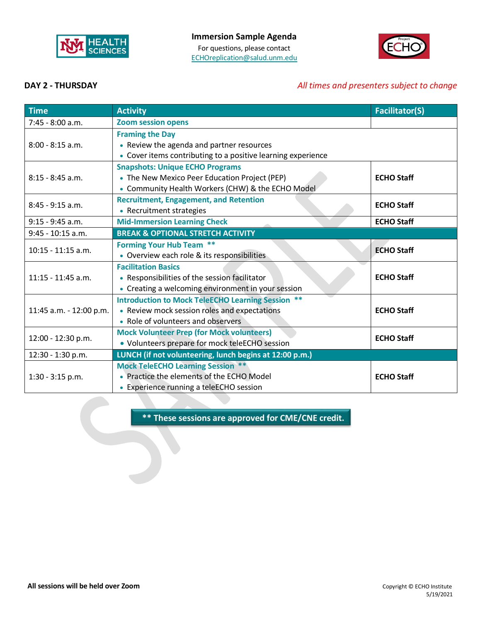



# **DAY 2 - THURSDAY** *All times and presenters subject to change*

| <b>Time</b>             | <b>Activity</b>                                                                                                                                      | <b>Facilitator(S)</b> |
|-------------------------|------------------------------------------------------------------------------------------------------------------------------------------------------|-----------------------|
| 7:45 - 8:00 a.m.        | <b>Zoom session opens</b>                                                                                                                            |                       |
| $8:00 - 8:15$ a.m.      | <b>Framing the Day</b><br>• Review the agenda and partner resources<br>• Cover items contributing to a positive learning experience                  |                       |
| $8:15 - 8:45$ a.m.      | <b>Snapshots: Unique ECHO Programs</b><br>• The New Mexico Peer Education Project (PEP)<br>• Community Health Workers (CHW) & the ECHO Model         | <b>ECHO Staff</b>     |
| $8:45 - 9:15$ a.m.      | <b>Recruitment, Engagement, and Retention</b><br>• Recruitment strategies                                                                            | <b>ECHO Staff</b>     |
| $9:15 - 9:45$ a.m.      | <b>Mid-Immersion Learning Check</b>                                                                                                                  | <b>ECHO Staff</b>     |
| 9:45 - 10:15 a.m.       | <b>BREAK &amp; OPTIONAL STRETCH ACTIVITY</b>                                                                                                         |                       |
| $10:15 - 11:15$ a.m.    | <b>Forming Your Hub Team **</b><br>• Overview each role & its responsibilities                                                                       | <b>ECHO Staff</b>     |
| $11:15 - 11:45$ a.m.    | <b>Facilitation Basics</b><br>• Responsibilities of the session facilitator<br>• Creating a welcoming environment in your session                    | <b>ECHO Staff</b>     |
| 11:45 a.m. - 12:00 p.m. | <b>Introduction to Mock TeleECHO Learning Session</b><br>$***$<br>• Review mock session roles and expectations<br>• Role of volunteers and observers | <b>ECHO Staff</b>     |
| 12:00 - 12:30 p.m.      | <b>Mock Volunteer Prep (for Mock volunteers)</b><br>• Volunteers prepare for mock teleECHO session                                                   | <b>ECHO Staff</b>     |
| 12:30 - 1:30 p.m.       | LUNCH (if not volunteering, lunch begins at 12:00 p.m.)                                                                                              |                       |
| 1:30 - 3:15 p.m.        | <b>Mock TeleECHO Learning Session **</b><br>• Practice the elements of the ECHO Model<br>• Experience running a teleECHO session                     | <b>ECHO Staff</b>     |

**\*\* These sessions are approved for CME/CNE credit.**

**\*\***